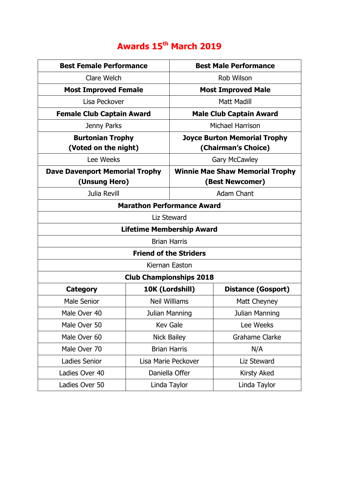## **Awards 15th March 2019**

| <b>Best Female Performance</b>        |                      | <b>Best Male Performance</b>           |                           |  |
|---------------------------------------|----------------------|----------------------------------------|---------------------------|--|
| Clare Welch                           |                      | Rob Wilson                             |                           |  |
| <b>Most Improved Female</b>           |                      | <b>Most Improved Male</b>              |                           |  |
| Lisa Peckover                         |                      | <b>Matt Madill</b>                     |                           |  |
| <b>Female Club Captain Award</b>      |                      | <b>Male Club Captain Award</b>         |                           |  |
| Jenny Parks                           |                      | Michael Harrison                       |                           |  |
| <b>Burtonian Trophy</b>               |                      | <b>Joyce Burton Memorial Trophy</b>    |                           |  |
| (Voted on the night)                  |                      | (Chairman's Choice)                    |                           |  |
| Lee Weeks                             |                      | <b>Gary McCawley</b>                   |                           |  |
| <b>Dave Davenport Memorial Trophy</b> |                      | <b>Winnie Mae Shaw Memorial Trophy</b> |                           |  |
| (Unsung Hero)                         |                      | (Best Newcomer)                        |                           |  |
| Julia Revill                          |                      | <b>Adam Chant</b>                      |                           |  |
| <b>Marathon Performance Award</b>     |                      |                                        |                           |  |
| Liz Steward                           |                      |                                        |                           |  |
| <b>Lifetime Membership Award</b>      |                      |                                        |                           |  |
| <b>Brian Harris</b>                   |                      |                                        |                           |  |
| <b>Friend of the Striders</b>         |                      |                                        |                           |  |
| Kiernan Easton                        |                      |                                        |                           |  |
| <b>Club Championships 2018</b>        |                      |                                        |                           |  |
| <b>Category</b>                       | 10K (Lordshill)      |                                        | <b>Distance (Gosport)</b> |  |
| <b>Male Senior</b>                    | <b>Neil Williams</b> |                                        | Matt Cheyney              |  |
| Male Over 40                          | Julian Manning       |                                        | Julian Manning            |  |
| Male Over 50                          | <b>Kev Gale</b>      |                                        | Lee Weeks                 |  |
| Male Over 60                          | <b>Nick Bailey</b>   |                                        | <b>Grahame Clarke</b>     |  |
| Male Over 70                          | <b>Brian Harris</b>  |                                        | N/A                       |  |
| Ladies Senior                         | Lisa Marie Peckover  |                                        | Liz Steward               |  |
| Ladies Over 40                        | Daniella Offer       |                                        | Kirsty Aked               |  |
| Ladies Over 50                        | Linda Taylor         |                                        | Linda Taylor              |  |